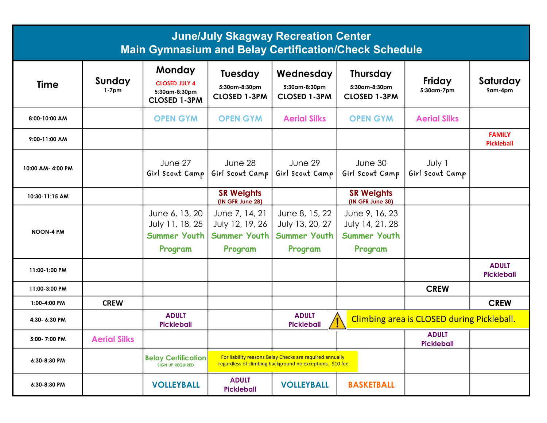| <b>June/July Skagway Recreation Center</b><br><b>Main Gymnasium and Belay Certification/Check Schedule</b> |                     |                                                                        |                                                        |                                                                                                                       |                                                         |                                            |                                    |
|------------------------------------------------------------------------------------------------------------|---------------------|------------------------------------------------------------------------|--------------------------------------------------------|-----------------------------------------------------------------------------------------------------------------------|---------------------------------------------------------|--------------------------------------------|------------------------------------|
| <b>Time</b>                                                                                                | Sunday<br>$1-7$ pm  | Monday<br><b>CLOSED JULY 4</b><br>5:30am-8:30pm<br><b>CLOSED 1-3PM</b> | <b>Tuesday</b><br>5:30am-8:30pm<br><b>CLOSED 1-3PM</b> | Wednesday<br>5:30am-8:30pm<br><b>CLOSED 1-3PM</b>                                                                     | <b>Thursday</b><br>5:30am-8:30pm<br><b>CLOSED 1-3PM</b> | Friday<br>5:30am-7pm                       | Saturday<br>9am-4pm                |
| 8:00-10:00 AM                                                                                              |                     | <b>OPEN GYM</b>                                                        | <b>OPEN GYM</b>                                        | <b>Aerial Silks</b>                                                                                                   | <b>OPEN GYM</b>                                         | <b>Aerial Silks</b>                        |                                    |
| 9:00-11:00 AM                                                                                              |                     |                                                                        |                                                        |                                                                                                                       |                                                         |                                            | <b>FAMILY</b><br><b>Pickleball</b> |
| 10:00 AM- 4:00 PM                                                                                          |                     | June 27<br>Girl Scout Camp                                             | June 28<br>Girl Scout Camp                             | June 29<br>Girl Scout Camp                                                                                            | June 30<br>Girl Scout Camp                              | July 1<br>Girl Scout Camp                  |                                    |
| 10:30-11:15 AM                                                                                             |                     |                                                                        | <b>SR Weights</b><br>(IN GFR June 28)                  |                                                                                                                       | <b>SR Weights</b><br>(IN GFR June 30)                   |                                            |                                    |
| <b>NOON-4 PM</b>                                                                                           |                     | June 6, 13, 20<br>July 11, 18, 25                                      | June 7, 14, 21<br>July 12, 19, 26                      | June 8, 15, 22<br>July 13, 20, 27                                                                                     | June 9, 16, 23<br>July 14, 21, 28                       |                                            |                                    |
|                                                                                                            |                     | <b>Summer Youth</b><br>Program                                         | <b>Summer Youth</b><br>Program                         | Summer Youth<br>Program                                                                                               | Summer Youth<br>Program                                 |                                            |                                    |
| 11:00-1:00 PM                                                                                              |                     |                                                                        |                                                        |                                                                                                                       |                                                         |                                            | <b>ADULT</b><br><b>Pickleball</b>  |
| 11:00-3:00 PM                                                                                              |                     |                                                                        |                                                        |                                                                                                                       |                                                         | <b>CREW</b>                                |                                    |
| 1:00-4:00 PM                                                                                               | <b>CREW</b>         |                                                                        |                                                        |                                                                                                                       |                                                         |                                            | <b>CREW</b>                        |
| 4:30-6:30 PM                                                                                               |                     | <b>ADULT</b><br><b>Pickleball</b>                                      |                                                        | <b>ADULT</b><br><b>Pickleball</b>                                                                                     |                                                         | Climbing area is CLOSED during Pickleball. |                                    |
| 5:00-7:00 PM                                                                                               | <b>Aerial Silks</b> |                                                                        |                                                        |                                                                                                                       |                                                         | <b>ADULT</b><br><b>Pickleball</b>          |                                    |
| 6:30-8:30 PM                                                                                               |                     | <b>Belay Certification</b><br><b>SIGN UP REQUIRED</b>                  |                                                        | For liability reasons Belay Checks are required annually<br>regardless of climbing background no exceptions. \$10 fee |                                                         |                                            |                                    |
| 6:30-8:30 PM                                                                                               |                     | <b>VOLLEYBALL</b>                                                      | <b>ADULT</b><br><b>Pickleball</b>                      | <b>VOLLEYBALL</b>                                                                                                     | <b>BASKETBALL</b>                                       |                                            |                                    |